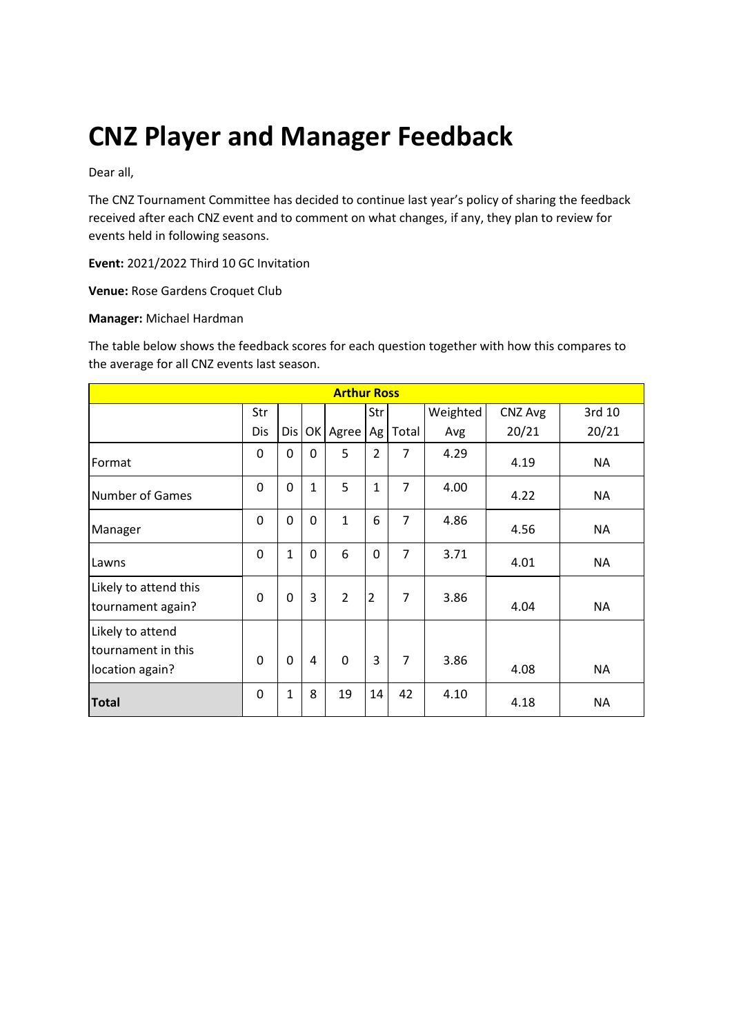# **CNZ Player and Manager Feedback**

Dear all,

The CNZ Tournament Committee has decided to continue last year's policy of sharing the feedback received after each CNZ event and to comment on what changes, if any, they plan to review for events held in following seasons.

**Event:** 2021/2022 Third 10 GC Invitation

**Venue:** Rose Gardens Croquet Club

#### **Manager:** Michael Hardman

The table below shows the feedback scores for each question together with how this compares to the average for all CNZ events last season.

| <b>Arthur Ross</b>                                        |          |              |             |                |                |                |          |         |           |
|-----------------------------------------------------------|----------|--------------|-------------|----------------|----------------|----------------|----------|---------|-----------|
|                                                           | Str      |              |             |                | Str            |                | Weighted | CNZ Avg | 3rd 10    |
|                                                           | Dis      | Dis          |             | OK Agree       | Ag             | Total          | Avg      | 20/21   | 20/21     |
| Format                                                    | 0        | 0            | $\Omega$    | 5              | $\overline{2}$ | 7              | 4.29     | 4.19    | <b>NA</b> |
| <b>Number of Games</b>                                    | 0        | 0            | 1           | 5              | $\mathbf{1}$   | $\overline{7}$ | 4.00     | 4.22    | <b>NA</b> |
| Manager                                                   | 0        | 0            | $\mathbf 0$ | $\mathbf{1}$   | 6              | $\overline{7}$ | 4.86     | 4.56    | <b>NA</b> |
| Lawns                                                     | 0        | $\mathbf{1}$ | $\mathbf 0$ | 6              | 0              | $\overline{7}$ | 3.71     | 4.01    | <b>NA</b> |
| Likely to attend this<br>tournament again?                | $\Omega$ | 0            | 3           | $\overline{2}$ | $\overline{2}$ | 7              | 3.86     | 4.04    | <b>NA</b> |
| Likely to attend<br>tournament in this<br>location again? | $\Omega$ | $\Omega$     | 4           | $\mathbf 0$    | 3              | $\overline{7}$ | 3.86     | 4.08    | <b>NA</b> |
| <b>Total</b>                                              | 0        | 1            | 8           | 19             | 14             | 42             | 4.10     | 4.18    | <b>NA</b> |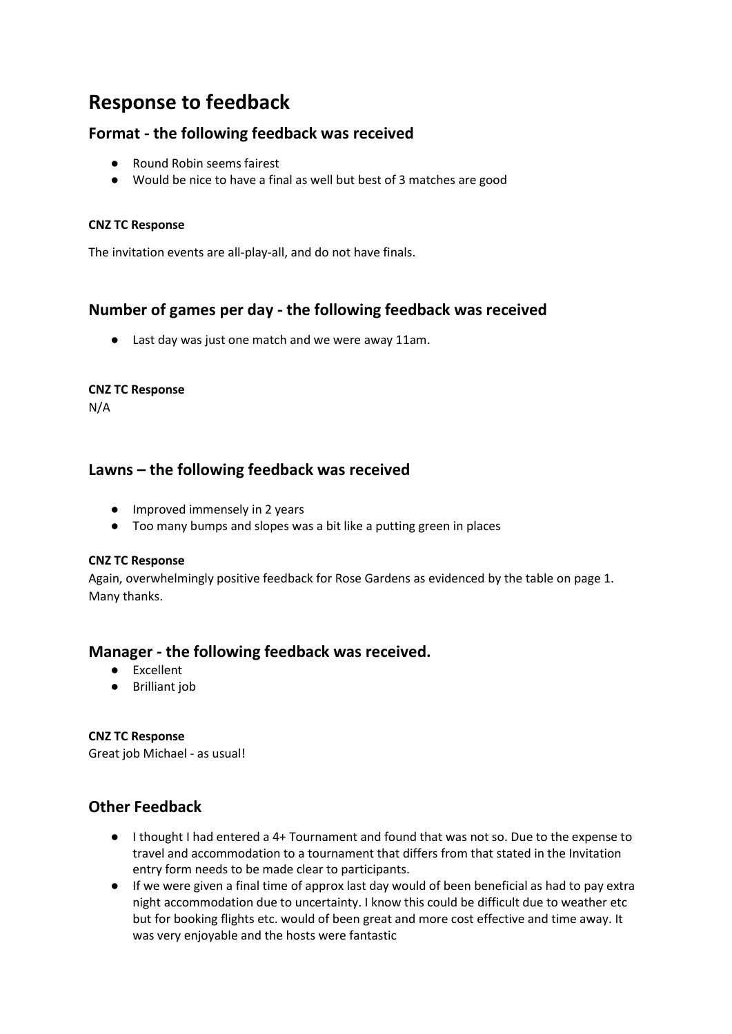# **Response to feedback**

# **Format - the following feedback was received**

- Round Robin seems fairest
- Would be nice to have a final as well but best of 3 matches are good

### **CNZ TC Response**

The invitation events are all-play-all, and do not have finals.

# **Number of games per day - the following feedback was received**

● Last day was just one match and we were away 11am.

#### **CNZ TC Response**

N/A

# **Lawns – the following feedback was received**

- Improved immensely in 2 years
- Too many bumps and slopes was a bit like a putting green in places

#### **CNZ TC Response**

Again, overwhelmingly positive feedback for Rose Gardens as evidenced by the table on page 1. Many thanks.

## **Manager - the following feedback was received.**

- Excellent
- Brilliant job

### **CNZ TC Response**

Great job Michael - as usual!

# **Other Feedback**

- I thought I had entered a 4+ Tournament and found that was not so. Due to the expense to travel and accommodation to a tournament that differs from that stated in the Invitation entry form needs to be made clear to participants.
- If we were given a final time of approx last day would of been beneficial as had to pay extra night accommodation due to uncertainty. I know this could be difficult due to weather etc but for booking flights etc. would of been great and more cost effective and time away. It was very enjoyable and the hosts were fantastic